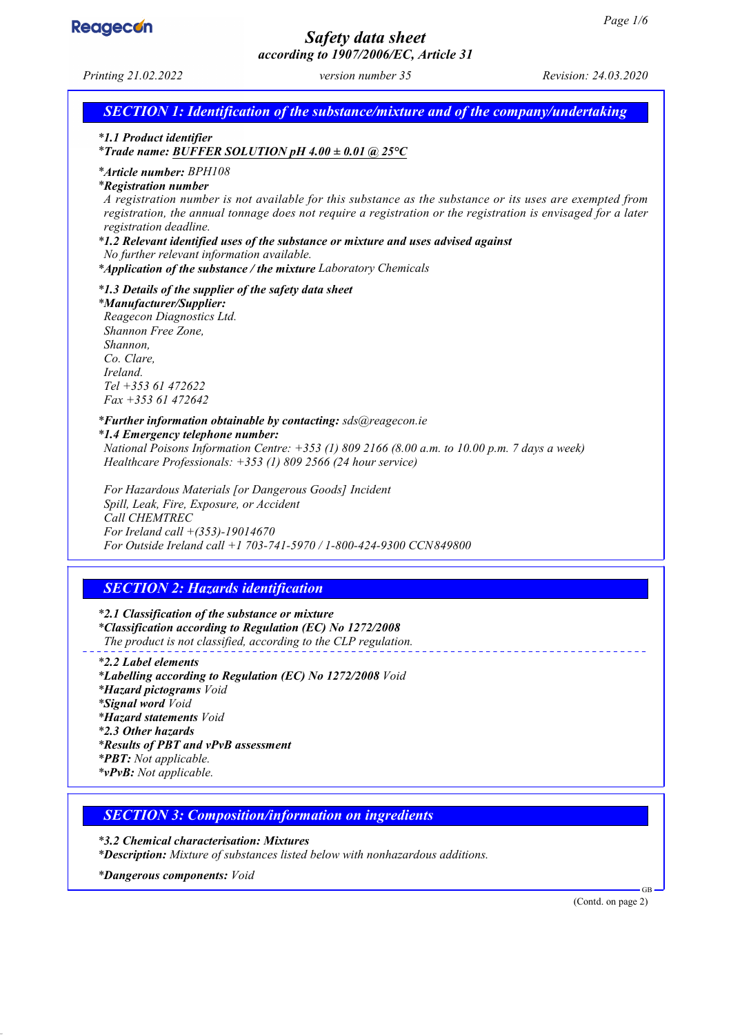

## *Safety data sheet according to 1907/2006/EC, Article 31*

*Printing 21.02.2022 version number 35 Revision: 24.03.2020*

*SECTION 1: Identification of the substance/mixture and of the company/undertaking*

*\* 1.1 Product identifier*

*\* Trade name: BUFFER SOLUTION pH 4.00 ± 0.01 @ 25°C*

*\* Article number: BPH108*

*\* Registration number*

*A registration number is not available for this substance as the substance or its uses are exempted from registration, the annual tonnage does not require a registration or the registration is envisaged for a later registration deadline.*

*\* 1.2 Relevant identified uses of the substance or mixture and uses advised against*

*No further relevant information available.*

*\* Application of the substance / the mixture Laboratory Chemicals*

*\* 1.3 Details of the supplier of the safety data sheet*

*\* Manufacturer/Supplier:*

*Reagecon Diagnostics Ltd. Shannon Free Zone, Shannon, Co. Clare, Ireland. Tel +353 61 472622 Fax +353 61 472642*

*\* Further information obtainable by contacting: sds@reagecon.ie*

*\* 1.4 Emergency telephone number: National Poisons Information Centre: +353 (1) 809 2166 (8.00 a.m. to 10.00 p.m. 7 days a week) Healthcare Professionals: +353 (1) 809 2566 (24 hour service)*

*For Hazardous Materials [or Dangerous Goods] Incident Spill, Leak, Fire, Exposure, or Accident Call CHEMTREC For Ireland call +(353)-19014670 For Outside Ireland call +1 703-741-5970 / 1-800-424-9300 CCN849800*

## *SECTION 2: Hazards identification*

*\* 2.1 Classification of the substance or mixture \* Classification according to Regulation (EC) No 1272/2008 The product is not classified, according to the CLP regulation.*

*\* 2.2 Label elements \* Labelling according to Regulation (EC) No 1272/2008 Void \* Hazard pictograms Void \* Signal word Void \* Hazard statements Void \* 2.3 Other hazards \* Results of PBT and vPvB assessment \* PBT: Not applicable. \* vPvB: Not applicable.*

*SECTION 3: Composition/information on ingredients*

*\* 3.2 Chemical characterisation: Mixtures \* Description: Mixture of substances listed below with nonhazardous additions.*

*\* Dangerous components: Void*

(Contd. on page 2)

GB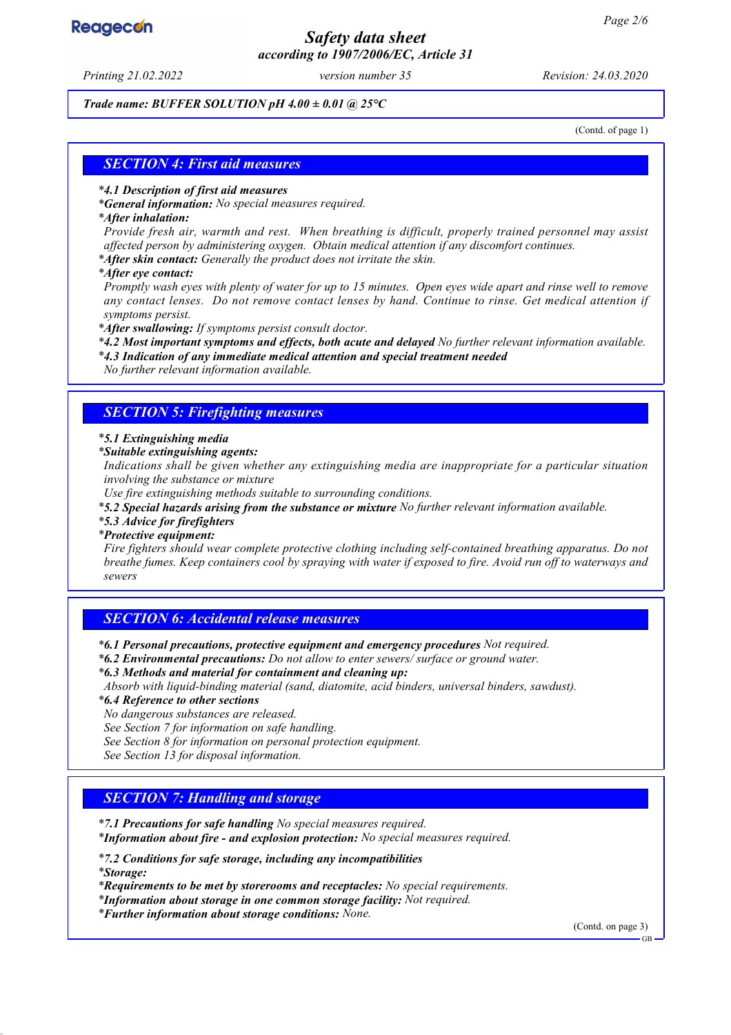## *Safety data sheet according to 1907/2006/EC, Article 31*

*Printing 21.02.2022 version number 35 Revision: 24.03.2020*

#### *Trade name: BUFFER SOLUTION pH 4.00 ± 0.01 @ 25°C*

(Contd. of page 1)

### *SECTION 4: First aid measures*

#### *\* 4.1 Description of first aid measures*

*\* General information: No special measures required.*

#### *\* After inhalation:*

*Provide fresh air, warmth and rest. When breathing is difficult, properly trained personnel may assist affected person by administering oxygen. Obtain medical attention if any discomfort continues.*

*\* After skin contact: Generally the product does not irritate the skin.*

*\* After eye contact:*

*Promptly wash eyes with plenty of water for up to 15 minutes. Open eyes wide apart and rinse well to remove any contact lenses. Do not remove contact lenses by hand. Continue to rinse. Get medical attention if symptoms persist.*

*\* After swallowing: If symptoms persist consult doctor.*

*\* 4.2 Most important symptoms and effects, both acute and delayed No further relevant information available.*

*\* 4.3 Indication of any immediate medical attention and special treatment needed*

*No further relevant information available.*

### *SECTION 5: Firefighting measures*

#### *\* 5.1 Extinguishing media*

*\* Suitable extinguishing agents:*

*Indications shall be given whether any extinguishing media are inappropriate for a particular situation involving the substance or mixture*

*Use fire extinguishing methods suitable to surrounding conditions.*

*\* 5.2 Special hazards arising from the substance or mixture No further relevant information available.*

*\* 5.3 Advice for firefighters*

#### *\* Protective equipment:*

*Fire fighters should wear complete protective clothing including self-contained breathing apparatus. Do not breathe fumes. Keep containers cool by spraying with water if exposed to fire. Avoid run off to waterways and sewers*

### *SECTION 6: Accidental release measures*

*\* 6.1 Personal precautions, protective equipment and emergency procedures Not required.*

- *\* 6.2 Environmental precautions: Do not allow to enter sewers/ surface or ground water.*
- *\* 6.3 Methods and material for containment and cleaning up:*
- *Absorb with liquid-binding material (sand, diatomite, acid binders, universal binders, sawdust).*
- *\* 6.4 Reference to other sections*

*No dangerous substances are released.*

*See Section 7 for information on safe handling.*

*See Section 8 for information on personal protection equipment.*

*See Section 13 for disposal information.*

### *SECTION 7: Handling and storage*

*\* 7.1 Precautions for safe handling No special measures required.*

*\* Information about fire - and explosion protection: No special measures required.*

*\* 7.2 Conditions for safe storage, including any incompatibilities*

*\* Storage:*

*\* Requirements to be met by storerooms and receptacles: No special requirements.*

*\* Information about storage in one common storage facility: Not required.*

*\* Further information about storage conditions: None.*

(Contd. on page 3)

GB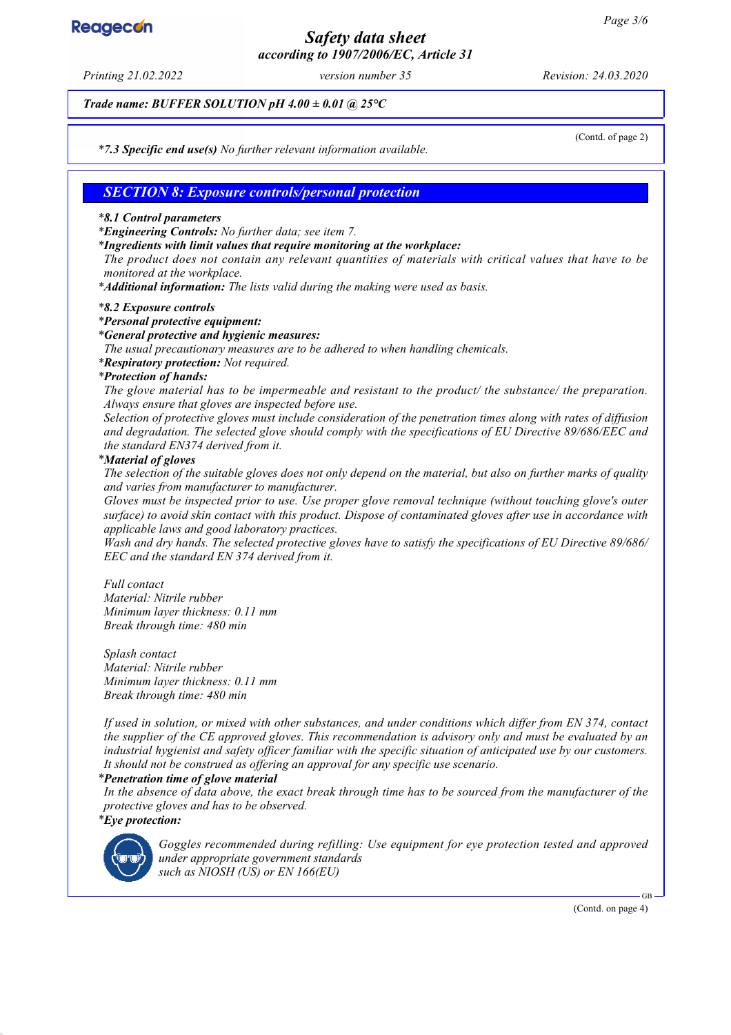## *Safety data sheet according to 1907/2006/EC, Article 31*

*Printing 21.02.2022 version number 35 Revision: 24.03.2020*

*Trade name: BUFFER SOLUTION pH 4.00 ± 0.01 @ 25°C*

(Contd. of page 2)

*\* 7.3 Specific end use(s) No further relevant information available.*

### *SECTION 8: Exposure controls/personal protection*

#### *\* 8.1 Control parameters*

*\* Engineering Controls: No further data; see item 7.*

*\* Ingredients with limit values that require monitoring at the workplace:*

*The product does not contain any relevant quantities of materials with critical values that have to be monitored at the workplace.*

*\* Additional information: The lists valid during the making were used as basis.*

#### *\* 8.2 Exposure controls*

*\* Personal protective equipment:*

#### *\* General protective and hygienic measures:*

*The usual precautionary measures are to be adhered to when handling chemicals.*

*\* Respiratory protection: Not required.*

#### *\* Protection of hands:*

*The glove material has to be impermeable and resistant to the product/ the substance/ the preparation. Always ensure that gloves are inspected before use.*

*Selection of protective gloves must include consideration of the penetration times along with rates of diffusion and degradation. The selected glove should comply with the specifications of EU Directive 89/686/EEC and the standard EN374 derived from it.*

#### *\* Material of gloves*

*The selection of the suitable gloves does not only depend on the material, but also on further marks of quality and varies from manufacturer to manufacturer.*

*Gloves must be inspected prior to use. Use proper glove removal technique (without touching glove's outer surface) to avoid skin contact with this product. Dispose of contaminated gloves after use in accordance with applicable laws and good laboratory practices.*

*Wash and dry hands. The selected protective gloves have to satisfy the specifications of EU Directive 89/686/ EEC and the standard EN 374 derived from it.*

*Full contact Material: Nitrile rubber Minimum layer thickness: 0.11 mm Break through time: 480 min*

*Splash contact Material: Nitrile rubber Minimum layer thickness: 0.11 mm Break through time: 480 min*

*If used in solution, or mixed with other substances, and under conditions which differ from EN 374, contact the supplier of the CE approved gloves. This recommendation is advisory only and must be evaluated by an industrial hygienist and safety officer familiar with the specific situation of anticipated use by our customers. It should not be construed as offering an approval for any specific use scenario.*

#### *\* Penetration time of glove material*

*In the absence of data above, the exact break through time has to be sourced from the manufacturer of the protective gloves and has to be observed. \* Eye protection:*



*Goggles recommended during refilling: Use equipment for eye protection tested and approved under appropriate government standards such as NIOSH (US) or EN 166(EU)*

(Contd. on page 4)

GB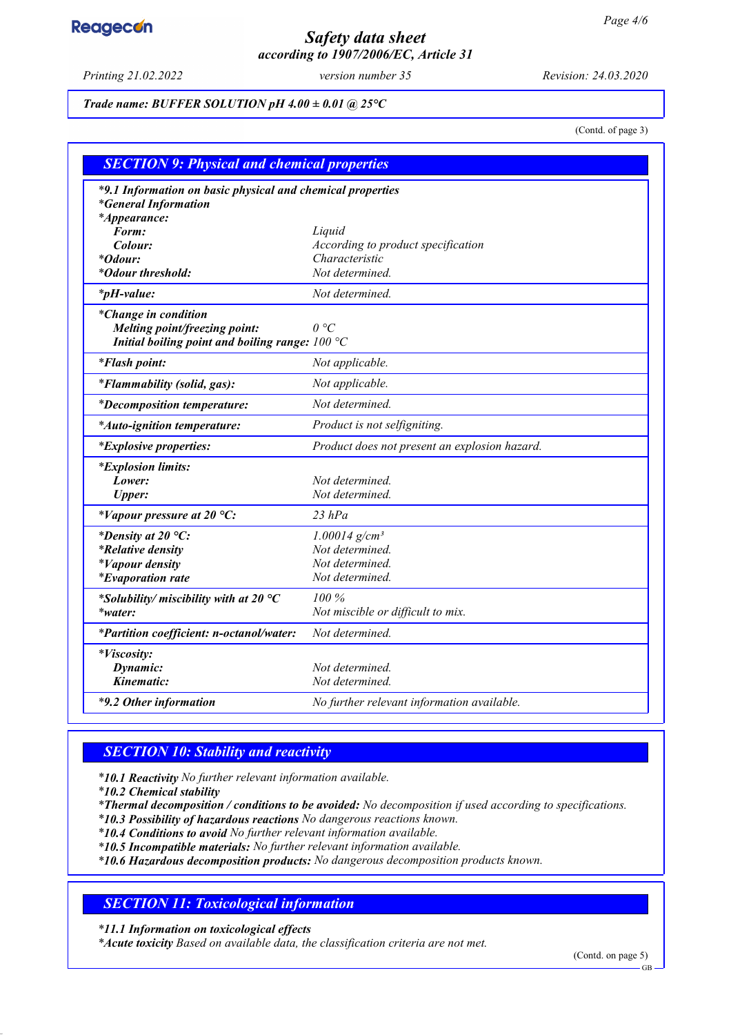## *Safety data sheet according to 1907/2006/EC, Article 31*

*Printing 21.02.2022 version number 35 Revision: 24.03.2020*

### *Trade name: BUFFER SOLUTION pH 4.00 ± 0.01 @ 25°C*

(Contd. of page 3)

| <b>SECTION 9: Physical and chemical properties</b>                                                               |                                               |  |
|------------------------------------------------------------------------------------------------------------------|-----------------------------------------------|--|
| *9.1 Information on basic physical and chemical properties<br><i>*General Information</i><br><i>*Appearance:</i> |                                               |  |
| Form:                                                                                                            | Liquid                                        |  |
| Colour:                                                                                                          | According to product specification            |  |
| <i>*Odour:</i>                                                                                                   | Characteristic                                |  |
| *Odour threshold:                                                                                                | Not determined.                               |  |
| $*_{p}H$ -value:                                                                                                 | Not determined.                               |  |
| *Change in condition<br>Melting point/freezing point:<br>Initial boiling point and boiling range: $100 °C$       | $\theta$ °C                                   |  |
| <i>*Flash point:</i>                                                                                             | Not applicable.                               |  |
| <i>*Flammability (solid, gas):</i>                                                                               | Not applicable.                               |  |
| <i>*Decomposition temperature:</i>                                                                               | Not determined.                               |  |
| *Auto-ignition temperature:                                                                                      | Product is not selfigniting.                  |  |
| <i>*Explosive properties:</i>                                                                                    | Product does not present an explosion hazard. |  |
| <i>*Explosion limits:</i>                                                                                        |                                               |  |
| Lower:                                                                                                           | Not determined.                               |  |
| <b>Upper:</b>                                                                                                    | Not determined.                               |  |
| *Vapour pressure at 20 °C:                                                                                       | $23$ $hPa$                                    |  |
| *Density at 20 $^{\circ}C$ :                                                                                     | $1.00014$ g/cm <sup>3</sup>                   |  |
| <i>*Relative density</i>                                                                                         | Not determined.                               |  |
| <i>*Vapour density</i>                                                                                           | Not determined.                               |  |
| <i>*Evaporation rate</i>                                                                                         | Not determined.                               |  |
| *Solubility/miscibility with at 20 $^{\circ}C$                                                                   | $100\%$                                       |  |
| *water:                                                                                                          | Not miscible or difficult to mix.             |  |
| *Partition coefficient: n-octanol/water:                                                                         | Not determined.                               |  |
| *Viscosity:                                                                                                      |                                               |  |
| Dynamic:                                                                                                         | Not determined.                               |  |
| Kinematic:                                                                                                       | Not determined.                               |  |
| *9.2 Other information                                                                                           | No further relevant information available.    |  |

## *SECTION 10: Stability and reactivity*

*\* 10.1 Reactivity No further relevant information available.*

*\* 10.2 Chemical stability*

*\* Thermal decomposition / conditions to be avoided: No decomposition if used according to specifications.*

*\* 10.3 Possibility of hazardous reactions No dangerous reactions known.*

*\* 10.4 Conditions to avoid No further relevant information available.*

*\* 10.5 Incompatible materials: No further relevant information available.*

*\* 10.6 Hazardous decomposition products: No dangerous decomposition products known.*

## *SECTION 11: Toxicological information*

*\* 11.1 Information on toxicological effects*

*\* Acute toxicity Based on available data, the classification criteria are not met.*

(Contd. on page 5)

GB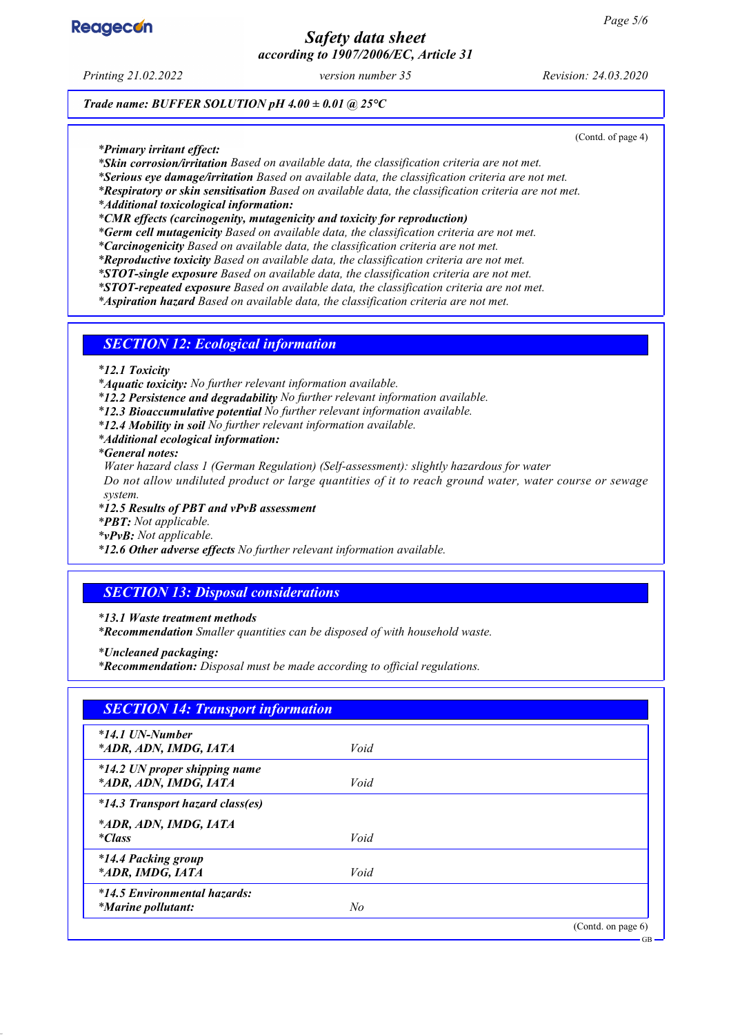

## *Safety data sheet according to 1907/2006/EC, Article 31*

*Printing 21.02.2022 version number 35 Revision: 24.03.2020*

(Contd. of page 4)

*Trade name: BUFFER SOLUTION pH 4.00 ± 0.01 @ 25°C*

*\* Primary irritant effect:*

*\* Skin corrosion/irritation Based on available data, the classification criteria are not met.*

*\* Serious eye damage/irritation Based on available data, the classification criteria are not met.*

*\* Respiratory or skin sensitisation Based on available data, the classification criteria are not met.*

*\* Additional toxicological information:*

*\* CMR effects (carcinogenity, mutagenicity and toxicity for reproduction)*

*\* Germ cell mutagenicity Based on available data, the classification criteria are not met.*

*\* Carcinogenicity Based on available data, the classification criteria are not met.*

*\* Reproductive toxicity Based on available data, the classification criteria are not met.*

*\* STOT-single exposure Based on available data, the classification criteria are not met.*

*\* STOT-repeated exposure Based on available data, the classification criteria are not met.*

*\* Aspiration hazard Based on available data, the classification criteria are not met.*

### *SECTION 12: Ecological information*

*\* 12.1 Toxicity*

*\* Aquatic toxicity: No further relevant information available.*

*\* 12.2 Persistence and degradability No further relevant information available.*

*\* 12.3 Bioaccumulative potential No further relevant information available.*

*\* 12.4 Mobility in soil No further relevant information available.*

*\* Additional ecological information:*

*\* General notes:*

*Water hazard class 1 (German Regulation) (Self-assessment): slightly hazardous for water*

*Do not allow undiluted product or large quantities of it to reach ground water, water course or sewage system.*

*\* 12.5 Results of PBT and vPvB assessment*

*\* PBT: Not applicable.*

*\* vPvB: Not applicable.*

*\* 12.6 Other adverse effects No further relevant information available.*

### *SECTION 13: Disposal considerations*

*\* 13.1 Waste treatment methods*

*\* Recommendation Smaller quantities can be disposed of with household waste.*

*\* Uncleaned packaging:*

*\* Recommendation: Disposal must be made according to official regulations.*

| $*14.1$ UN-Number                |      |  |
|----------------------------------|------|--|
| *ADR, ADN, IMDG, IATA            | Void |  |
| *14.2 UN proper shipping name    |      |  |
| *ADR, ADN, IMDG, IATA            | Void |  |
| *14.3 Transport hazard class(es) |      |  |
| *ADR, ADN, IMDG, IATA            |      |  |
| <i>*Class</i>                    | Void |  |
| <i>*14.4 Packing group</i>       |      |  |
| *ADR, IMDG, IATA                 | Void |  |
| *14.5 Environmental hazards:     |      |  |
| <i>*Marine pollutant:</i>        | No   |  |